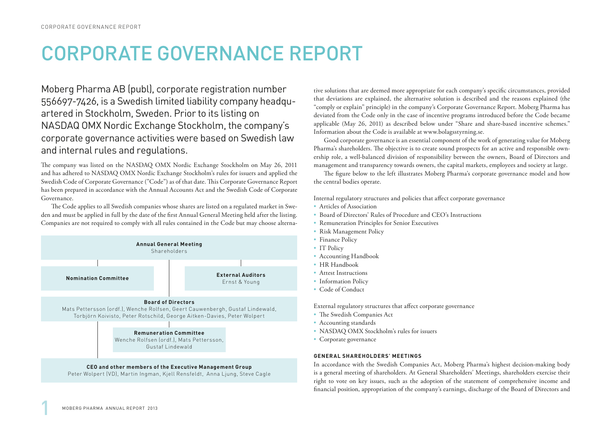# CORPORATE GOVERNANCE REPORT

Moberg Pharma AB (publ), corporate registration number 556697-7426, is a Swedish limited liability company headquartered in Stockholm, Sweden. Prior to its listing on NASDAQ OMX Nordic Exchange Stockholm, the company's corporate governance activities were based on Swedish law and internal rules and regulations.

The company was listed on the NASDAQ OMX Nordic Exchange Stockholm on May 26, 2011 and has adhered to NASDAQ OMX Nordic Exchange Stockholm's rules for issuers and applied the Swedish Code of Corporate Governance ("Code") as of that date. This Corporate Governance Report has been prepared in accordance with the Annual Accounts Act and the Swedish Code of Corporate Governance.

The Code applies to all Swedish companies whose shares are listed on a regulated market in Sweden and must be applied in full by the date of the first Annual General Meeting held after the listing. Companies are not required to comply with all rules contained in the Code but may choose alterna-



tive solutions that are deemed more appropriate for each company's specific circumstances, provided that deviations are explained, the alternative solution is described and the reasons explained (the "comply or explain" principle) in the company's Corporate Governance Report. Moberg Pharma has deviated from the Code only in the case of incentive programs introduced before the Code became applicable (May 26, 2011) as described below under "Share and share-based incentive schemes." Information about the Code is available at www.bolagsstyrning.se.

Good corporate governance is an essential component of the work of generating value for Moberg Pharma's shareholders. The objective is to create sound prospects for an active and responsible ownership role, a well-balanced division of responsibility between the owners, Board of Directors and management and transparency towards owners, the capital markets, employees and society at large.

The figure below to the left illustrates Moberg Pharma's corporate governance model and how the central bodies operate.

Internal regulatory structures and policies that affect corporate governance

- Articles of Association
- Board of Directors' Rules of Procedure and CEO's Instructions
- Remuneration Principles for Senior Executives
- Risk Management Policy
- Finance Policy
- IT Policy
- Accounting Handbook
- HR Handbook
- Attest Instructions
- Information Policy
- Code of Conduct

External regulatory structures that affect corporate governance

- The Swedish Companies Act
- Accounting standards
- NASDAQ OMX Stockholm's rules for issuers
- Corporate governance

# **GENERAL SHAREHOLDERS' MEETINGS**

In accordance with the Swedish Companies Act, Moberg Pharma's highest decision-making body is a general meeting of shareholders. At General Shareholders' Meetings, shareholders exercise their right to vote on key issues, such as the adoption of the statement of comprehensive income and financial position, appropriation of the company's earnings, discharge of the Board of Directors and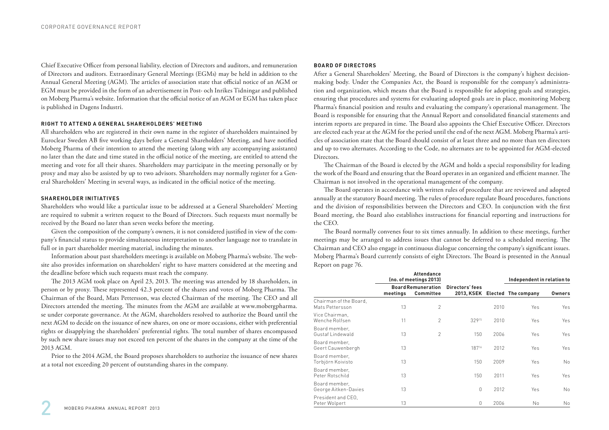Chief Executive Officer from personal liability, election of Directors and auditors, and remuneration of Directors and auditors. Extraordinary General Meetings (EGMs) may be held in addition to the Annual General Meeting (AGM). The articles of association state that official notice of an AGM or EGM must be provided in the form of an advertisement in Post- och Inrikes Tidningar and published on Moberg Pharma's website. Information that the official notice of an AGM or EGM has taken place is published in Dagens Industri.

# **RIGHT TO ATTEND A GENERAL SHAREHOLDERS' MEETING**

All shareholders who are registered in their own name in the register of shareholders maintained by Euroclear Sweden AB five working days before a General Shareholders' Meeting, and have notified Moberg Pharma of their intention to attend the meeting (along with any accompanying assistants) no later than the date and time stated in the official notice of the meeting, are entitled to attend the meeting and vote for all their shares. Shareholders may participate in the meeting personally or by proxy and may also be assisted by up to two advisors. Shareholders may normally register for a General Shareholders' Meeting in several ways, as indicated in the official notice of the meeting.

# **SHAREHOLDER INITIATIVES**

Shareholders who would like a particular issue to be addressed at a General Shareholders' Meeting are required to submit a written request to the Board of Directors. Such requests must normally be received by the Board no later than seven weeks before the meeting.

Given the composition of the company's owners, it is not considered justified in view of the company's financial status to provide simultaneous interpretation to another language nor to translate in full or in part shareholder meeting material, including the minutes.

Information about past shareholders meetings is available on Moberg Pharma's website. The website also provides information on shareholders' right to have matters considered at the meeting and the deadline before which such requests must reach the company.

The 2013 AGM took place on April 23, 2013. The meeting was attended by 18 shareholders, in person or by proxy. These represented 42.3 percent of the shares and votes of Moberg Pharma. The Chairman of the Board, Mats Pettersson, was elected Chairman of the meeting. The CEO and all Directors attended the meeting. The minutes from the AGM are available at www.mobergpharma. se under corporate governance. At the AGM, shareholders resolved to authorize the Board until the next AGM to decide on the issuance of new shares, on one or more occasions, either with preferential rights or disapplying the shareholders' preferential rights. The total number of shares encompassed by such new share issues may not exceed ten percent of the shares in the company at the time of the 2013 AGM.

Prior to the 2014 AGM, the Board proposes shareholders to authorize the issuance of new shares at a total not exceeding 20 percent of outstanding shares in the company.

# **BOARD OF DIRECTORS**

After a General Shareholders' Meeting, the Board of Directors is the company's highest decisionmaking body. Under the Companies Act, the Board is responsible for the company's administration and organization, which means that the Board is responsible for adopting goals and strategies, ensuring that procedures and systems for evaluating adopted goals are in place, monitoring Moberg Pharma's financial position and results and evaluating the company's operational management. The Board is responsible for ensuring that the Annual Report and consolidated financial statements and interim reports are prepared in time. The Board also appoints the Chief Executive Officer. Directors are elected each year at the AGM for the period until the end of the next AGM. Moberg Pharma's articles of association state that the Board should consist of at least three and no more than ten directors and up to two alternates. According to the Code, no alternates are to be appointed for AGM-elected Directors.

The Chairman of the Board is elected by the AGM and holds a special responsibility for leading the work of the Board and ensuring that the Board operates in an organized and efficient manner. The Chairman is not involved in the operational management of the company.

The Board operates in accordance with written rules of procedure that are reviewed and adopted annually at the statutory Board meeting. The rules of procedure regulate Board procedures, functions and the division of responsibilities between the Directors and CEO. In conjunction with the first Board meeting, the Board also establishes instructions for financial reporting and instructions for the CEO.

The Board normally convenes four to six times annually. In addition to these meetings, further meetings may be arranged to address issues that cannot be deferred to a scheduled meeting. The Chairman and CEO also engage in continuous dialogue concerning the company's significant issues. Moberg Pharma's Board currently consists of eight Directors. The Board is presented in the Annual Report on page 76.

|                                           | <b>Attendance</b><br>(no. of meetings 2013)<br><b>Board Remuneration</b><br>meetings<br>Committee |                |                 |      | Independent in relation to     |               |
|-------------------------------------------|---------------------------------------------------------------------------------------------------|----------------|-----------------|------|--------------------------------|---------------|
|                                           |                                                                                                   |                | Directors' fees |      | 2013, KSEK Elected The company | <b>Owners</b> |
| Chairman of the Board,<br>Mats Pettersson | 13                                                                                                | $\overline{c}$ |                 | 2010 | Yes                            | Yes           |
| Vice Chairman,<br>Wenche Rolfsen          | 11                                                                                                | $\overline{2}$ | 32915           | 2010 | Yes                            | Yes           |
| Board member,<br>Gustaf Lindewald         | 13                                                                                                | $\overline{c}$ | 150             | 2006 | Yes                            | Yes           |
| Board member,<br>Geert Cauwenbergh        | 13                                                                                                |                | 18716           | 2012 | Yes                            | Yes           |
| Board member,<br>Torbjörn Koivisto        | 13                                                                                                |                | 150             | 2009 | Yes                            | <b>No</b>     |
| Board member,<br>Peter Rotschild          | 13                                                                                                |                | 150             | 2011 | Yes                            | Yes           |
| Board member,<br>George Aitken-Davies     | 13                                                                                                |                | $\Omega$        | 2012 | Yes                            | <b>No</b>     |
| President and CEO,<br>Peter Wolpert       | 13                                                                                                |                | $\mathbf{0}$    | 2006 | Νo                             | No            |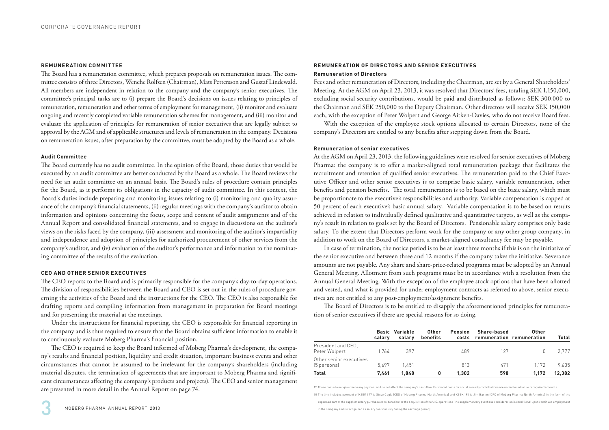#### **REMUNERATION COMMITTEE**

The Board has a remuneration committee, which prepares proposals on remuneration issues. The committee consists of three Directors, Wenche Rolfsen (Chairman), Mats Pettersson and Gustaf Lindewald. All members are independent in relation to the company and the company's senior executives. The committee's principal tasks are to (i) prepare the Board's decisions on issues relating to principles of remuneration, remuneration and other terms of employment for management, (ii) monitor and evaluate ongoing and recently completed variable remuneration schemes for management, and (iii) monitor and evaluate the application of principles for remuneration of senior executives that are legally subject to approval by the AGM and of applicable structures and levels of remuneration in the company. Decisions on remuneration issues, after preparation by the committee, must be adopted by the Board as a whole.

# **Audit Committee**

The Board currently has no audit committee. In the opinion of the Board, those duties that would be executed by an audit committee are better conducted by the Board as a whole. The Board reviews the need for an audit committee on an annual basis. The Board's rules of procedure contain principles for the Board, as it performs its obligations in the capacity of audit committee. In this context, the Board's duties include preparing and monitoring issues relating to (i) monitoring and quality assurance of the company's financial statements, (ii) regular meetings with the company's auditor to obtain information and opinions concerning the focus, scope and content of audit assignments and of the Annual Report and consolidated financial statements, and to engage in discussions on the auditor's views on the risks faced by the company, (iii) assessment and monitoring of the auditor's impartiality and independence and adoption of principles for authorized procurement of other services from the company's auditor, and (iv) evaluation of the auditor's performance and information to the nominating committee of the results of the evaluation.

# **CEO AND OTHER SENIOR EXECUTIVES**

The CEO reports to the Board and is primarily responsible for the company's day-to-day operations. The division of responsibilities between the Board and CEO is set out in the rules of procedure governing the activities of the Board and the instructions for the CEO. The CEO is also responsible for drafting reports and compiling information from management in preparation for Board meetings and for presenting the material at the meetings.

Under the instructions for financial reporting, the CEO is responsible for financial reporting in the company and is thus required to ensure that the Board obtains sufficient information to enable it to continuously evaluate Moberg Pharma's financial position.

The CEO is required to keep the Board informed of Moberg Pharma's development, the company's results and financial position, liquidity and credit situation, important business events and other circumstances that cannot be assumed to be irrelevant for the company's shareholders (including material disputes, the termination of agreements that are important to Moberg Pharma and significant circumstances affecting the company's products and projects). The CEO and senior management are presented in more detail in the Annual Report on page 74.

# **REMUNERATION OF DIRECTORS AND SENIOR EXECUTIVES Remuneration of Directors**

Fees and other remuneration of Directors, including the Chairman, are set by a General Shareholders' Meeting. At the AGM on April 23, 2013, it was resolved that Directors' fees, totaling SEK 1,150,000, excluding social security contributions, would be paid and distributed as follows: SEK 300,000 to the Chairman and SEK 250,000 to the Deputy Chairman. Other directors will receive SEK 150,000 each, with the exception of Peter Wolpert and George Aitken-Davies, who do not receive Board fees.

With the exception of the employee stock options allocated to certain Directors, none of the company's Directors are entitled to any benefits after stepping down from the Board.

# **Remuneration of senior executives**

At the AGM on April 23, 2013, the following guidelines were resolved for senior executives of Moberg Pharma: the company is to offer a market-aligned total remuneration package that facilitates the recruitment and retention of qualified senior executives. The remuneration paid to the Chief Executive Officer and other senior executives is to comprise basic salary, variable remuneration, other benefits and pension benefits. The total remuneration is to be based on the basic salary, which must be proportionate to the executive's responsibilities and authority. Variable compensation is capped at 50 percent of each executive's basic annual salary. Variable compensation is to be based on results achieved in relation to individually defined qualitative and quantitative targets, as well as the company's result in relation to goals set by the Board of Directors. Pensionable salary comprises only basic salary. To the extent that Directors perform work for the company or any other group company, in addition to work on the Board of Directors, a market-aligned consultancy fee may be payable.

In case of termination, the notice period is to be at least three months if this is on the initiative of the senior executive and between three and 12 months if the company takes the initiative. Severance amounts are not payable. Any share and share-price-related programs must be adopted by an Annual General Meeting. Allotment from such programs must be in accordance with a resolution from the Annual General Meeting. With the exception of the employee stock options that have been allotted and vested, and what is provided for under employment contracts as referred to above, senior executives are not entitled to any post-employment/assignment benefits.

The Board of Directors is to be entitled to disapply the aforementioned principles for remuneration of senior executives if there are special reasons for so doing.

|                                        | salarv | <b>Basic Variable</b><br>salarv | Other<br>benefits | Pension | Share-based<br>costs remuneration remuneration | Other | Total  |
|----------------------------------------|--------|---------------------------------|-------------------|---------|------------------------------------------------|-------|--------|
| President and CEO.<br>Peter Wolpert    | 1.764  | 397                             |                   | 489     | 127                                            |       | 2.777  |
| Other senior executives<br>[5 persons] | 5.697  | 1.451                           |                   | 813     | 471                                            | 1.172 | 9.605  |
| <b>Total</b>                           | 7.461  | 1.848                           |                   | 1.302   | 598                                            | 1.172 | 12.382 |

19 These costs do not give rise to any payment and do not affect the company's cash flow. Estimated costs for social security contributions are not included in the recognized amounts.

20 The line includes payment of KSEK 977 to Steve Cagle (CEO of Moberg Pharma North America) and KSEK 195 to Jim Barton (CFO of Moberg Pharma North America) in the form of the

in the company and is recognized as salary continuously during the earnings period).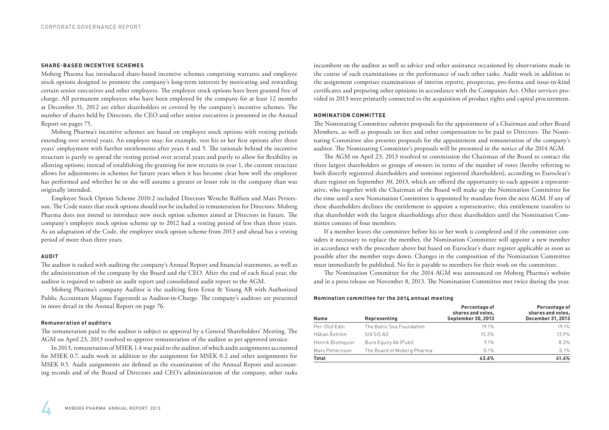#### **SHARE-BASED INCENTIVE SCHEMES**

Moberg Pharma has introduced share-based incentive schemes comprising warrants and employee stock options designed to promote the company's long-term interests by motivating and rewarding certain senior executives and other employees. The employee stock options have been granted free of charge. All permanent employees who have been employed by the company for at least 12 months at December 31, 2012 are either shareholders or covered by the company's incentive schemes. The number of shares held by Directors, the CEO and other senior executives is presented in the Annual Report on pages 75.

Moberg Pharma's incentive schemes are based on employee stock options with vesting periods extending over several years. An employee may, for example, vest his or her first options after three years' employment with further entitlements after years 4 and 5. The rationale behind the incentive structure is partly to spread the vesting period over several years and partly to allow for flexibility in allotting options; instead of establishing the granting for new recruits in year 1, the current structure allows for adjustments in schemes for future years when it has become clear how well the employee has performed and whether he or she will assume a greater or lesser role in the company than was originally intended.

Employee Stock Option Scheme 2010:2 included Directors Wenche Rolfsen and Mats Pettersson. The Code states that stock options should not be included in remuneration for Directors. Moberg Pharma does not intend to introduce new stock option schemes aimed at Directors in future. The company's employee stock option scheme up to 2012 had a vesting period of less than three years. As an adaptation of the Code, the employee stock option scheme from 2013 and ahead has a vesting period of more than three years.

# **AUDIT**

The auditor is tasked with auditing the company's Annual Report and financial statements, as well as the administration of the company by the Board and the CEO. After the end of each fiscal year, the auditor is required to submit an audit report and consolidated audit report to the AGM.

Moberg Pharma's company Auditor is the auditing firm Ernst & Young AB with Authorized Public Accountant Magnus Fagerstedt as Auditor-in-Charge. The company's auditors are presented in more detail in the Annual Report on page 76.

# **Remuneration of auditors**

The remuneration paid to the auditor is subject to approval by a General Shareholders' Meeting. The AGM on April 23, 2013 resolved to approve remuneration of the auditor as per approved invoice.

In 2013, remuneration of MSEK 1.4 was paid to the auditor, of which audit assignments accounted for MSEK 0.7, audit work in addition to the assignment for MSEK 0.2 and other assignments for MSEK 0.5. Audit assignments are defined as the examination of the Annual Report and accounting records and of the Board of Directors and CEO's administration of the company, other tasks incumbent on the auditor as well as advice and other assistance occasioned by observations made in the course of such examinations or the performance of such other tasks. Audit work in addition to the assignment comprises examinations of interim reports, prospectus, pro-forma and issue-in-kind certificates and preparing other opinions in accordance with the Companies Act. Other services provided in 2013 were primarily connected to the acquisition of product rights and capital procurement.

#### **NOMINATION COMMITTEE**

The Nominating Committee submits proposals for the appointment of a Chairman and other Board Members, as well as proposals on fees and other compensation to be paid to Directors. The Nominating Committee also presents proposals for the appointment and remuneration of the company's auditor. The Nominating Committee's proposals will be presented in the notice of the 2014 AGM.

The AGM on April 23, 2013 resolved to commission the Chairman of the Board to contact the three largest shareholders or groups of owners in terms of the number of votes (hereby referring to both directly registered shareholders and nominee registered shareholders), according to Euroclear's share register on September 30, 2013, which are offered the opportunity to each appoint a representative, who together with the Chairman of the Board will make up the Nomination Committee for the time until a new Nomination Committee is appointed by mandate from the next AGM. If any of these shareholders declines the entitlement to appoint a representative, this entitlement transfers to that shareholder with the largest shareholdings after these shareholders until the Nomination Committee consists of four members.

If a member leaves the committee before his or her work is completed and if the committee considers it necessary to replace the member, the Nomination Committee will appoint a new member in accordance with the procedure above but based on Euroclear's share register applicable as soon as possible after the member steps down. Changes in the composition of the Nomination Committee must immediately be published. No fee is payable to members for their work on the committee.

The Nomination Committee for the 2014 AGM was announced on Moberg Pharma's website and in a press release on November 8, 2013. The Nomination Committee met twice during the year.

#### **Nomination committee for the 2014 annual meeting**

| <b>Name</b>      | Representing               | Percentage of<br>shares and votes,<br>September 30, 2013 | Percentage of<br>shares and votes,<br>December 31, 2013 |
|------------------|----------------------------|----------------------------------------------------------|---------------------------------------------------------|
| Per-Olof Edin    | The Baltic Sea Foundation  | 19.1%                                                    | 19.1%                                                   |
| Håkan Åström     | SIX SIS AG                 | 15.3%                                                    | 13.9%                                                   |
| Henrik Blomquist | Bure Equity Ab (Publ)      | 9.1%                                                     | 8.3%                                                    |
| Mats Pettersson  | The Board of Moberg Pharma | 0.1%                                                     | 0.1%                                                    |
| <b>Total</b>     |                            | 43.6%                                                    | 41.4%                                                   |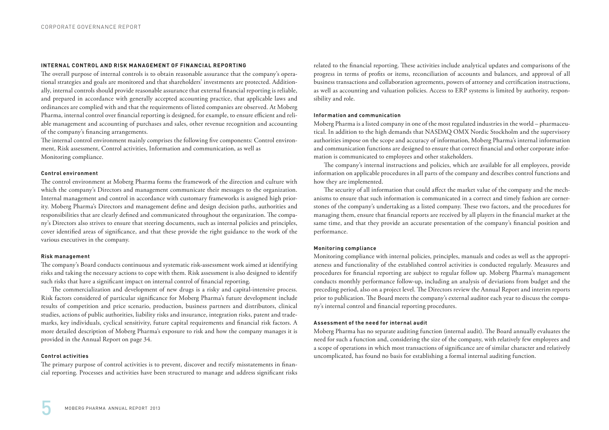# **INTERNAL CONTROL AND RISK MANAGEMENT OF FINANCIAL REPORTING**

The overall purpose of internal controls is to obtain reasonable assurance that the company's operational strategies and goals are monitored and that shareholders' investments are protected. Additionally, internal controls should provide reasonable assurance that external financial reporting is reliable, and prepared in accordance with generally accepted accounting practice, that applicable laws and ordinances are complied with and that the requirements of listed companies are observed. At Moberg Pharma, internal control over financial reporting is designed, for example, to ensure efficient and reliable management and accounting of purchases and sales, other revenue recognition and accounting of the company's financing arrangements.

The internal control environment mainly comprises the following five components: Control environment, Risk assessment, Control activities, Information and communication, as well as Monitoring compliance.

#### **Control environment**

The control environment at Moberg Pharma forms the framework of the direction and culture with which the company's Directors and management communicate their messages to the organization. Internal management and control in accordance with customary frameworks is assigned high priority. Moberg Pharma's Directors and management define and design decision paths, authorities and responsibilities that are clearly defined and communicated throughout the organization. The company's Directors also strives to ensure that steering documents, such as internal policies and principles, cover identified areas of significance, and that these provide the right guidance to the work of the various executives in the company.

# **Risk management**

The company's Board conducts continuous and systematic risk-assessment work aimed at identifying risks and taking the necessary actions to cope with them. Risk assessment is also designed to identify such risks that have a significant impact on internal control of financial reporting.

The commercialization and development of new drugs is a risky and capital-intensive process. Risk factors considered of particular significance for Moberg Pharma's future development include results of competition and price scenario, production, business partners and distributors, clinical studies, actions of public authorities, liability risks and insurance, integration risks, patent and trademarks, key individuals, cyclical sensitivity, future capital requirements and financial risk factors. A more detailed description of Moberg Pharma's exposure to risk and how the company manages it is provided in the Annual Report on page 34.

# **Control activities**

The primary purpose of control activities is to prevent, discover and rectify misstatements in financial reporting. Processes and activities have been structured to manage and address significant risks related to the financial reporting. These activities include analytical updates and comparisons of the progress in terms of profits or items, reconciliation of accounts and balances, and approval of all business transactions and collaboration agreements, powers of attorney and certification instructions, as well as accounting and valuation policies. Access to ERP systems is limited by authority, responsibility and role.

# **Information and communication**

Moberg Pharma is a listed company in one of the most regulated industries in the world – pharmaceutical. In addition to the high demands that NASDAQ OMX Nordic Stockholm and the supervisory authorities impose on the scope and accuracy of information, Moberg Pharma's internal information and communication functions are designed to ensure that correct financial and other corporate information is communicated to employees and other stakeholders.

The company's internal instructions and policies, which are available for all employees, provide information on applicable procedures in all parts of the company and describes control functions and how they are implemented.

The security of all information that could affect the market value of the company and the mechanisms to ensure that such information is communicated in a correct and timely fashion are cornerstones of the company's undertaking as a listed company. These two factors, and the procedures for managing them, ensure that financial reports are received by all players in the financial market at the same time, and that they provide an accurate presentation of the company's financial position and performance.

# **Monitoring compliance**

Monitoring compliance with internal policies, principles, manuals and codes as well as the appropriateness and functionality of the established control activities is conducted regularly. Measures and procedures for financial reporting are subject to regular follow up. Moberg Pharma's management conducts monthly performance follow-up, including an analysis of deviations from budget and the preceding period, also on a project level. The Directors review the Annual Report and interim reports prior to publication. The Board meets the company's external auditor each year to discuss the company's internal control and financial reporting procedures.

# **Assessment of the need for internal audit**

Moberg Pharma has no separate auditing function (internal audit). The Board annually evaluates the need for such a function and, considering the size of the company, with relatively few employees and a scope of operations in which most transactions of significance are of similar character and relatively uncomplicated, has found no basis for establishing a formal internal auditing function.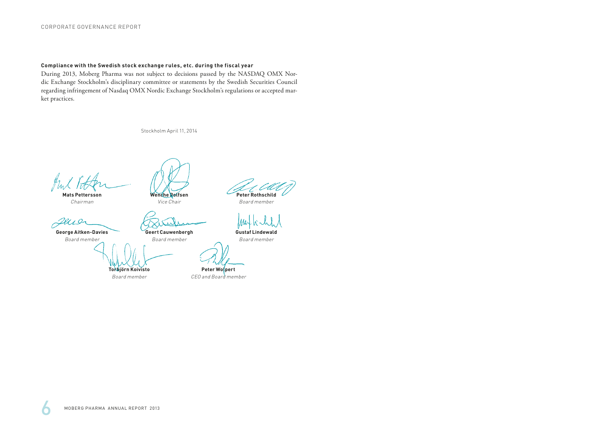# **Compliance with the Swedish stock exchange rules, etc. during the fiscal year**

During 2013, Moberg Pharma was not subject to decisions passed by the NASDAQ OMX Nordic Exchange Stockholm's disciplinary committee or statements by the Swedish Securities Council regarding infringement of Nasdaq OMX Nordic Exchange Stockholm's regulations or accepted market practices.

Stockholm April 11, 2014

**Mats Pettersson** 

**Wenche Rolfsen** Vice Chair

**Geert Cauwenbergh**

Chairman

Jewe

**George Aitken-Davies** Board member

Board member

**Torbjörn Koivisto** Board member

**Peter Rothschild**

Board member

**Gustaf Lindewald**

Board member

**Peter Wolpert**

CEO and Board member